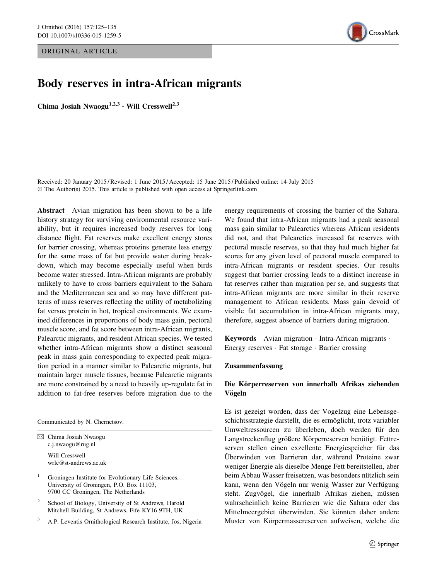## ORIGINAL ARTICLE

# Body reserves in intra-African migrants

Chima Josiah Nwaogu<sup>1,2,3</sup> · Will Cresswell<sup>2,3</sup>

Received: 20 January 2015 / Revised: 1 June 2015 / Accepted: 15 June 2015 / Published online: 14 July 2015 © The Author(s) 2015. This article is published with open access at Springerlink.com

Abstract Avian migration has been shown to be a life history strategy for surviving environmental resource variability, but it requires increased body reserves for long distance flight. Fat reserves make excellent energy stores for barrier crossing, whereas proteins generate less energy for the same mass of fat but provide water during breakdown, which may become especially useful when birds become water stressed. Intra-African migrants are probably unlikely to have to cross barriers equivalent to the Sahara and the Mediterranean sea and so may have different patterns of mass reserves reflecting the utility of metabolizing fat versus protein in hot, tropical environments. We examined differences in proportions of body mass gain, pectoral muscle score, and fat score between intra-African migrants, Palearctic migrants, and resident African species. We tested whether intra-African migrants show a distinct seasonal peak in mass gain corresponding to expected peak migration period in a manner similar to Palearctic migrants, but maintain larger muscle tissues, because Palearctic migrants are more constrained by a need to heavily up-regulate fat in addition to fat-free reserves before migration due to the

Communicated by N. Chernetsov.

 $\boxtimes$  Chima Josiah Nwaogu c.j.nwaogu@rug.nl

> Will Cresswell wrlc@st-andrews.ac.uk

<sup>1</sup> Groningen Institute for Evolutionary Life Sciences, University of Groningen, P.O. Box 11103, 9700 CC Groningen, The Netherlands

School of Biology, University of St Andrews, Harold Mitchell Building, St Andrews, Fife KY16 9TH, UK

<sup>3</sup> A.P. Leventis Ornithological Research Institute, Jos, Nigeria

energy requirements of crossing the barrier of the Sahara. We found that intra-African migrants had a peak seasonal mass gain similar to Palearctics whereas African residents did not, and that Palearctics increased fat reserves with pectoral muscle reserves, so that they had much higher fat scores for any given level of pectoral muscle compared to intra-African migrants or resident species. Our results suggest that barrier crossing leads to a distinct increase in fat reserves rather than migration per se, and suggests that intra-African migrants are more similar in their reserve management to African residents. Mass gain devoid of visible fat accumulation in intra-African migrants may, therefore, suggest absence of barriers during migration.

Keywords Avian migration · Intra-African migrants · Energy reserves - Fat storage - Barrier crossing

#### Zusammenfassung

# Die Körperreserven von innerhalb Afrikas ziehenden Vögeln

Es ist gezeigt worden, dass der Vogelzug eine Lebensgeschichtsstrategie darstellt, die es ermöglicht, trotz variabler Umweltressourcen zu überleben, doch werden für den Langstreckenflug größere Körperreserven benötigt. Fettreserven stellen einen exzellente Energiespeicher für das Überwinden von Barrieren dar, während Proteine zwar weniger Energie als dieselbe Menge Fett bereitstellen, aber beim Abbau Wasser freisetzen, was besonders nützlich sein kann, wenn den Vögeln nur wenig Wasser zur Verfügung steht. Zugvögel, die innerhalb Afrikas ziehen, müssen wahrscheinlich keine Barrieren wie die Sahara oder das Mittelmeergebiet überwinden. Sie könnten daher andere Muster von Körpermassereserven aufweisen, welche die

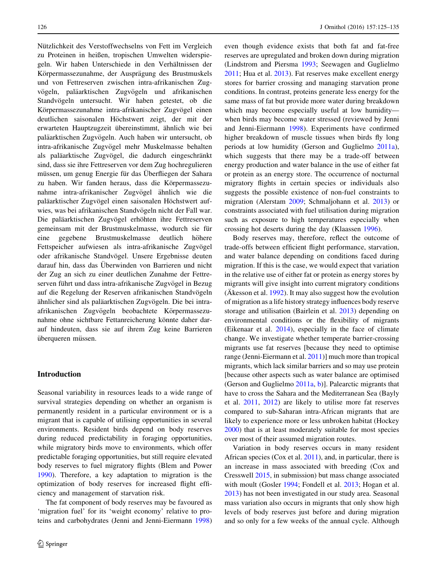Nützlichkeit des Verstoffwechselns von Fett im Vergleich zu Proteinen in heißen, tropischen Umwelten widerspiegeln. Wir haben Unterschiede in den Verhältnissen der Körpermassezunahme, der Ausprägung des Brustmuskels und von Fettreserven zwischen intra-afrikanischen Zugvögeln, paläarktischen Zugvögeln und afrikanischen Standvögeln untersucht. Wir haben getestet, ob die Körpermassezunahme intra-afrikanischer Zugvögel einen deutlichen saisonalen Höchstwert zeigt, der mit der erwarteten Hauptzugzeit übereinstimmt, ähnlich wie bei paläarktischen Zugvögeln. Auch haben wir untersucht, ob intra-afrikanische Zugvögel mehr Muskelmasse behalten als paläarktische Zugvögel, die dadurch eingeschränkt sind, dass sie ihre Fettreserven vor dem Zug hochregulieren müssen, um genug Energie für das Überfliegen der Sahara zu haben. Wir fanden heraus, dass die Körpermassezunahme intra-afrikanischer Zugvögel ähnlich wie die paläarktischer Zugvögel einen saisonalen Höchstwert aufwies, was bei afrikanischen Standvögeln nicht der Fall war. Die paläarktischen Zugvögel erhöhten ihre Fettreserven gemeinsam mit der Brustmuskelmasse, wodurch sie für eine gegebene Brustmuskelmasse deutlich höhere Fettspeicher aufwiesen als intra-afrikanische Zugvögel oder afrikanische Standvögel. Unsere Ergebnisse deuten darauf hin, dass das Überwinden von Barrieren und nicht der Zug an sich zu einer deutlichen Zunahme der Fettreserven führt und dass intra-afrikanische Zugvögel in Bezug auf die Regelung der Reserven afrikanischen Standvögeln ähnlicher sind als paläarktischen Zugvögeln. Die bei intraafrikanischen Zugvögeln beobachtete Körpermassezunahme ohne sichtbare Fettanreicherung könnte daher darauf hindeuten, dass sie auf ihrem Zug keine Barrieren überqueren müssen.

# Introduction

Seasonal variability in resources leads to a wide range of survival strategies depending on whether an organism is permanently resident in a particular environment or is a migrant that is capable of utilising opportunities in several environments. Resident birds depend on body reserves during reduced predictability in foraging opportunities, while migratory birds move to environments, which offer predictable foraging opportunities, but still require elevated body reserves to fuel migratory flights (Blem and Power [1990\)](#page-9-0). Therefore, a key adaptation to migration is the optimization of body reserves for increased flight efficiency and management of starvation risk.

The fat component of body reserves may be favoured as 'migration fuel' for its 'weight economy' relative to proteins and carbohydrates (Jenni and Jenni-Eiermann [1998\)](#page-10-0) even though evidence exists that both fat and fat-free reserves are upregulated and broken down during migration (Lindstrom and Piersma [1993;](#page-9-0) Seewagen and Guglielmo [2011](#page-10-0); Hua et al. [2013\)](#page-10-0). Fat reserves make excellent energy stores for barrier crossing and managing starvation prone conditions. In contrast, proteins generate less energy for the same mass of fat but provide more water during breakdown which may become especially useful at low humidity when birds may become water stressed (reviewed by Jenni and Jenni-Eiermann [1998\)](#page-10-0). Experiments have confirmed higher breakdown of muscle tissues when birds fly long periods at low humidity (Gerson and Guglielmo [2011a](#page-10-0)), which suggests that there may be a trade-off between energy production and water balance in the use of either fat or protein as an energy store. The occurrence of nocturnal migratory flights in certain species or individuals also suggests the possible existence of non-fuel constraints to migration (Alerstam [2009;](#page-9-0) Schmaljohann et al. [2013](#page-10-0)) or constraints associated with fuel utilisation during migration such as exposure to high temperatures especially when crossing hot deserts during the day (Klaassen [1996](#page-10-0)).

Body reserves may, therefore, reflect the outcome of trade-offs between efficient flight performance, starvation, and water balance depending on conditions faced during migration. If this is the case, we would expect that variation in the relative use of either fat or protein as energy stores by migrants will give insight into current migratory conditions (Akesson et al. [1992](#page-9-0)). It may also suggest how the evolution of migration as a life history strategy influences body reserve storage and utilisation (Bairlein et al. [2013\)](#page-9-0) depending on environmental conditions or the flexibility of migrants (Eikenaar et al. [2014\)](#page-10-0), especially in the face of climate change. We investigate whether temperate barrier-crossing migrants use fat reserves [because they need to optimise range (Jenni-Eiermann et al. [2011](#page-10-0))] much more than tropical migrants, which lack similar barriers and so may use protein [because other aspects such as water balance are optimised (Gerson and Guglielmo [2011a,](#page-10-0) [b\)](#page-10-0)]. Palearctic migrants that have to cross the Sahara and the Mediterranean Sea (Bayly et al. [2011,](#page-9-0) [2012\)](#page-9-0) are likely to utilise more fat reserves compared to sub-Saharan intra-African migrants that are likely to experience more or less unbroken habitat (Hockey [2000](#page-10-0)) that is at least moderately suitable for most species over most of their assumed migration routes.

Variation in body reserves occurs in many resident African species (Cox et al. [2011](#page-9-0)), and, in particular, there is an increase in mass associated with breeding (Cox and Cresswell [2015](#page-10-0), in submission) but mass change associated with moult (Gosler [1994](#page-10-0); Fondell et al. [2013;](#page-10-0) Hogan et al. [2013](#page-10-0)) has not been investigated in our study area. Seasonal mass variation also occurs in migrants that only show high levels of body reserves just before and during migration and so only for a few weeks of the annual cycle. Although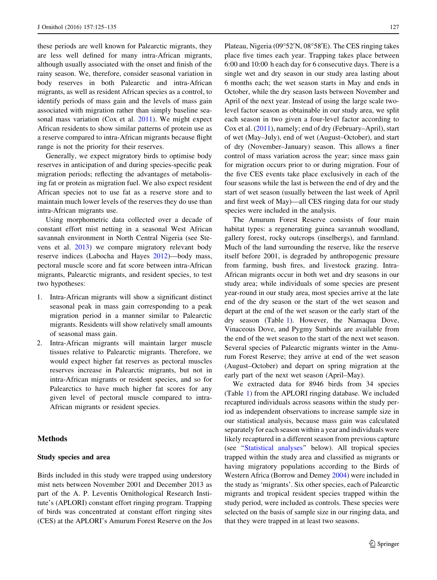these periods are well known for Palearctic migrants, they are less well defined for many intra-African migrants, although usually associated with the onset and finish of the rainy season. We, therefore, consider seasonal variation in body reserves in both Palearctic and intra-African migrants, as well as resident African species as a control, to identify periods of mass gain and the levels of mass gain associated with migration rather than simply baseline seasonal mass variation (Cox et al. [2011](#page-9-0)). We might expect African residents to show similar patterns of protein use as a reserve compared to intra-African migrants because flight range is not the priority for their reserves.

Generally, we expect migratory birds to optimise body reserves in anticipation of and during species-specific peak migration periods; reflecting the advantages of metabolising fat or protein as migration fuel. We also expect resident African species not to use fat as a reserve store and to maintain much lower levels of the reserves they do use than intra-African migrants use.

Using morphometric data collected over a decade of constant effort mist netting in a seasonal West African savannah environment in North Central Nigeria (see Stevens et al. [2013\)](#page-10-0) we compare migratory relevant body reserve indices (Labocha and Hayes [2012\)](#page-10-0)—body mass, pectoral muscle score and fat score between intra-African migrants, Palearctic migrants, and resident species, to test two hypotheses:

- 1. Intra-African migrants will show a significant distinct seasonal peak in mass gain corresponding to a peak migration period in a manner similar to Palearctic migrants. Residents will show relatively small amounts of seasonal mass gain.
- 2. Intra-African migrants will maintain larger muscle tissues relative to Palearctic migrants. Therefore, we would expect higher fat reserves as pectoral muscles reserves increase in Palearctic migrants, but not in intra-African migrants or resident species, and so for Palearctics to have much higher fat scores for any given level of pectoral muscle compared to intra-African migrants or resident species.

#### Methods

#### Study species and area

Birds included in this study were trapped using understory mist nets between November 2001 and December 2013 as part of the A. P. Leventis Ornithological Research Institute's (APLORI) constant effort ringing program. Trapping of birds was concentrated at constant effort ringing sites (CES) at the APLORI's Amurum Forest Reserve on the Jos

Plateau, Nigeria (09°52'N, 08°58'E). The CES ringing takes place five times each year. Trapping takes place between 6:00 and 10:00 h each day for 6 consecutive days. There is a single wet and dry season in our study area lasting about 6 months each; the wet season starts in May and ends in October, while the dry season lasts between November and April of the next year. Instead of using the large scale twolevel factor season as obtainable in our study area, we split each season in two given a four-level factor according to Cox et al. [\(2011](#page-9-0)), namely; end of dry (February–April), start of wet (May–July), end of wet (August–October), and start of dry (November–January) season. This allows a finer control of mass variation across the year; since mass gain for migration occurs prior to or during migration. Four of the five CES events take place exclusively in each of the four seasons while the last is between the end of dry and the start of wet season (usually between the last week of April and first week of May)—all CES ringing data for our study species were included in the analysis.

The Amurum Forest Reserve consists of four main habitat types: a regenerating guinea savannah woodland, gallery forest, rocky outcrops (inselbergs), and farmland. Much of the land surrounding the reserve, like the reserve itself before 2001, is degraded by anthropogenic pressure from farming, bush fires, and livestock grazing. Intra-African migrants occur in both wet and dry seasons in our study area; while individuals of some species are present year-round in our study area, most species arrive at the late end of the dry season or the start of the wet season and depart at the end of the wet season or the early start of the dry season (Table [1](#page-3-0)). However, the Namaqua Dove, Vinaceous Dove, and Pygmy Sunbirds are available from the end of the wet season to the start of the next wet season. Several species of Palearctic migrants winter in the Amurum Forest Reserve; they arrive at end of the wet season (August–October) and depart on spring migration at the early part of the next wet season (April–May).

We extracted data for 8946 birds from 34 species (Table [1\)](#page-3-0) from the APLORI ringing database. We included recaptured individuals across seasons within the study period as independent observations to increase sample size in our statistical analysis, because mass gain was calculated separately for each season within a year and individuals were likely recaptured in a different season from previous capture (see ''[Statistical analyses'](#page-3-0)' below). All tropical species trapped within the study area and classified as migrants or having migratory populations according to the Birds of Western Africa (Borrow and Demey [2004\)](#page-9-0) were included in the study as 'migrants'. Six other species, each of Palearctic migrants and tropical resident species trapped within the study period, were included as controls. These species were selected on the basis of sample size in our ringing data, and that they were trapped in at least two seasons.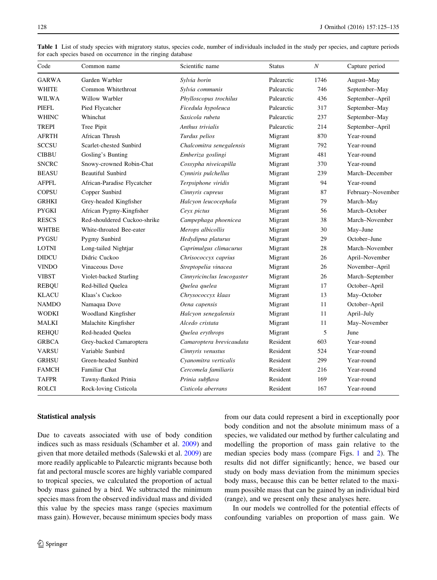| Code         | Common name                  | Scientific name            | <b>Status</b> | $\boldsymbol{N}$ | Capture period    |
|--------------|------------------------------|----------------------------|---------------|------------------|-------------------|
| <b>GARWA</b> | Garden Warbler               | Sylvia borin               | Palearctic    | 1746             | August-May        |
| <b>WHITE</b> | Common Whitethroat           | Sylvia communis            | Palearctic    | 746              | September-May     |
| <b>WILWA</b> | Willow Warbler               | Phylloscopus trochilus     | Palearctic    | 436              | September-April   |
| PIEFL        | Pied Flycatcher              | Ficedula hypoleuca         | Palearctic    | 317              | September-May     |
| WHINC        | Whinchat                     | Saxicola rubeta            | Palearctic    | 237              | September-May     |
| <b>TREPI</b> | Tree Pipit                   | Anthus trivialis           | Palearctic    | 214              | September-April   |
| <b>AFRTH</b> | African Thrush               | Turdus pelios              | Migrant       | 870              | Year-round        |
| <b>SCCSU</b> | Scarlet-chested Sunbird      | Chalcomitra senegalensis   | Migrant       | 792              | Year-round        |
| <b>CIBBU</b> | Gosling's Bunting            | Emberiza goslingi          | Migrant       | 481              | Year-round        |
| <b>SNCRC</b> | Snowy-crowned Robin-Chat     | Cossypha niveicapilla      | Migrant       | 370              | Year-round        |
| <b>BEASU</b> | <b>Beautiful Sunbird</b>     | Cynniris pulchellus        | Migrant       | 239              | March-December    |
| <b>AFPFL</b> | African-Paradise Flycatcher  | Terpsiphone viridis        | Migrant       | 94               | Year-round        |
| COPSU        | Copper Sunbird               | Cinnyris cupreus           | Migrant       | 87               | February-November |
| <b>GRHKI</b> | Grey-headed Kingfisher       | Halcyon leucocephala       | Migrant       | 79               | March-May         |
| <b>PYGKI</b> | African Pygmy-Kingfisher     | Ceyx pictus                | Migrant       | 56               | March-October     |
| <b>RESCS</b> | Red-shouldered Cuckoo-shrike | Campephaga phoenicea       | Migrant       | 38               | March-November    |
| <b>WHTBE</b> | White-throated Bee-eater     | Merops albicollis          | Migrant       | 30               | May-June          |
| <b>PYGSU</b> | Pygmy Sunbird                | Hedydipna platurus         | Migrant       | 29               | October-June      |
| <b>LOTNI</b> | Long-tailed Nightjar         | Caprimulgus climacurus     | Migrant       | 28               | March-November    |
| <b>DIDCU</b> | Didric Cuckoo                | Chrisococcyx caprius       | Migrant       | 26               | April-November    |
| <b>VINDO</b> | Vinaceous Dove               | Streptopelia vinacea       | Migrant       | 26               | November-April    |
| <b>VIBST</b> | Violet-backed Starling       | Cinnyricinclus leucogaster | Migrant       | 26               | March-September   |
| <b>REBQU</b> | Red-billed Quelea            | Quelea quelea              | Migrant       | 17               | October-April     |
| <b>KLACU</b> | Klaas's Cuckoo               | Chrysococcyx klaas         | Migrant       | 13               | May-October       |
| <b>NAMDO</b> | Namaqua Dove                 | Oena capensis              | Migrant       | 11               | October-April     |
| <b>WODKI</b> | Woodland Kingfisher          | Halcyon senegalensis       | Migrant       | 11               | April-July        |
| <b>MALKI</b> | Malachite Kingfisher         | Alcedo cristata            | Migrant       | 11               | May-November      |
| <b>REHQU</b> | Red-headed Quelea            | Quelea erythrops           | Migrant       | 5                | June              |
| <b>GRBCA</b> | Grey-backed Camaroptera      | Camaroptera brevicaudata   | Resident      | 603              | Year-round        |
| <b>VARSU</b> | Variable Sunbird             | Cinnyris venustus          | Resident      | 524              | Year-round        |
| <b>GRHSU</b> | Green-headed Sunbird         | Cyanomitra verticalis      | Resident      | 299              | Year-round        |
| <b>FAMCH</b> | Familiar Chat                | Cercomela familiaris       | Resident      | 216              | Year-round        |
| <b>TAFPR</b> | Tawny-flanked Prinia         | Prinia subflava            | Resident      | 169              | Year-round        |
| <b>ROLCI</b> | Rock-loving Cisticola        | Cisticola aberrans         | Resident      | 167              | Year-round        |

<span id="page-3-0"></span>Table 1 List of study species with migratory status, species code, number of individuals included in the study per species, and capture periods for each species based on occurrence in the ringing database

#### Statistical analysis

Due to caveats associated with use of body condition indices such as mass residuals (Schamber et al. [2009](#page-10-0)) and given that more detailed methods (Salewski et al. [2009](#page-10-0)) are more readily applicable to Palearctic migrants because both fat and pectoral muscle scores are highly variable compared to tropical species, we calculated the proportion of actual body mass gained by a bird. We subtracted the minimum species mass from the observed individual mass and divided this value by the species mass range (species maximum mass gain). However, because minimum species body mass from our data could represent a bird in exceptionally poor body condition and not the absolute minimum mass of a species, we validated our method by further calculating and modelling the proportion of mass gain relative to the median species body mass (compare Figs. [1](#page-4-0) and [2\)](#page-4-0). The results did not differ significantly; hence, we based our study on body mass deviation from the minimum species body mass, because this can be better related to the maximum possible mass that can be gained by an individual bird (range), and we present only these analyses here.

In our models we controlled for the potential effects of confounding variables on proportion of mass gain. We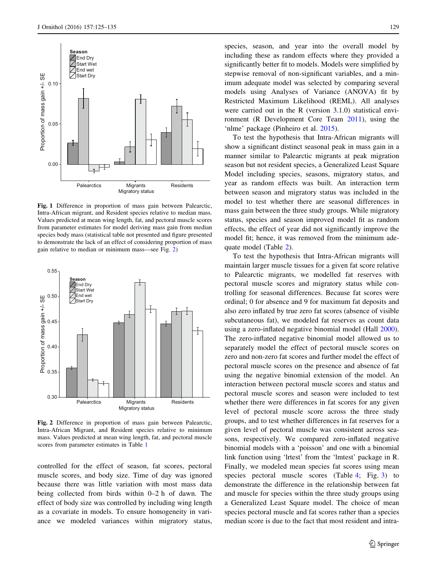<span id="page-4-0"></span>

Fig. 1 Difference in proportion of mass gain between Palearctic, Intra-African migrant, and Resident species relative to median mass. Values predicted at mean wing length, fat, and pectoral muscle scores from parameter estimates for model deriving mass gain from median species body mass (statistical table not presented and figure presented to demonstrate the lack of an effect of considering proportion of mass gain relative to median or minimum mass—see Fig. 2)



Fig. 2 Difference in proportion of mass gain between Palearctic, Intra-African Migrant, and Resident species relative to minimum mass. Values predicted at mean wing length, fat, and pectoral muscle scores from parameter estimates in Table [1](#page-3-0)

controlled for the effect of season, fat scores, pectoral muscle scores, and body size. Time of day was ignored because there was little variation with most mass data being collected from birds within 0–2 h of dawn. The effect of body size was controlled by including wing length as a covariate in models. To ensure homogeneity in variance we modeled variances within migratory status,

species, season, and year into the overall model by including these as random effects where they provided a significantly better fit to models. Models were simplified by stepwise removal of non-significant variables, and a minimum adequate model was selected by comparing several models using Analyses of Variance (ANOVA) fit by Restricted Maximum Likelihood (REML). All analyses were carried out in the R (version 3.1.0) statistical environment (R Development Core Team [2011](#page-10-0)), using the 'nlme' package (Pinheiro et al. [2015\)](#page-10-0).

To test the hypothesis that Intra-African migrants will show a significant distinct seasonal peak in mass gain in a manner similar to Palearctic migrants at peak migration season but not resident species, a Generalized Least Square Model including species, seasons, migratory status, and year as random effects was built. An interaction term between season and migratory status was included in the model to test whether there are seasonal differences in mass gain between the three study groups. While migratory status, species and season improved model fit as random effects, the effect of year did not significantly improve the model fit; hence, it was removed from the minimum adequate model (Table [2](#page-5-0)).

To test the hypothesis that Intra-African migrants will maintain larger muscle tissues for a given fat score relative to Palearctic migrants, we modelled fat reserves with pectoral muscle scores and migratory status while controlling for seasonal differences. Because fat scores were ordinal; 0 for absence and 9 for maximum fat deposits and also zero inflated by true zero fat scores (absence of visible subcutaneous fat), we modeled fat reserves as count data using a zero-inflated negative binomial model (Hall [2000](#page-10-0)). The zero-inflated negative binomial model allowed us to separately model the effect of pectoral muscle scores on zero and non-zero fat scores and further model the effect of pectoral muscle scores on the presence and absence of fat using the negative binomial extension of the model. An interaction between pectoral muscle scores and status and pectoral muscle scores and season were included to test whether there were differences in fat scores for any given level of pectoral muscle score across the three study groups, and to test whether differences in fat reserves for a given level of pectoral muscle was consistent across seasons, respectively. We compared zero-inflated negative binomial models with a 'poisson' and one with a binomial link function using 'lrtest' from the 'lmtest' package in R. Finally, we modeled mean species fat scores using mean species pectoral muscle scores (Table [4](#page-7-0); Fig. [3\)](#page-5-0) to demonstrate the difference in the relationship between fat and muscle for species within the three study groups using a Generalized Least Square model. The choice of mean species pectoral muscle and fat scores rather than a species median score is due to the fact that most resident and intra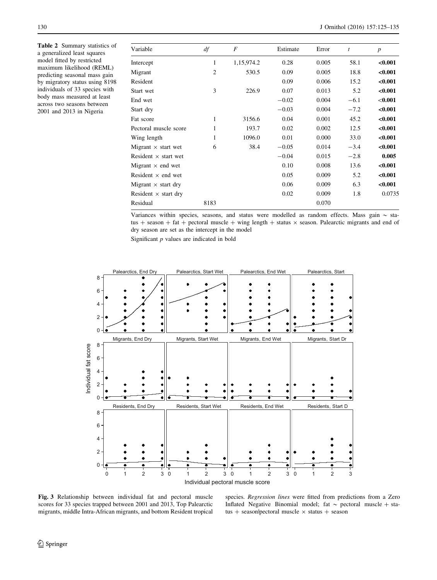<span id="page-5-0"></span>Table 2 Summary statistics of a generalized least squares model fitted by restricted maximum likelihood (REML) predicting seasonal mass gain by migratory status using 8198 individuals of 33 species with body mass measured at least across two seasons between 2001 and 2013 in Nigeria

| Variable                    | df   | F          | Estimate | Error | t      | $\boldsymbol{p}$ |
|-----------------------------|------|------------|----------|-------|--------|------------------|
| Intercept                   | 1    | 1,15,974.2 | 0.28     | 0.005 | 58.1   | < 0.001          |
| Migrant                     | 2    | 530.5      | 0.09     | 0.005 | 18.8   | < 0.001          |
| Resident                    |      |            | 0.09     | 0.006 | 15.2   | < 0.001          |
| Start wet                   | 3    | 226.9      | 0.07     | 0.013 | 5.2    | < 0.001          |
| End wet                     |      |            | $-0.02$  | 0.004 | $-6.1$ | < 0.001          |
| Start dry                   |      |            | $-0.03$  | 0.004 | $-7.2$ | < 0.001          |
| Fat score                   | 1    | 3156.6     | 0.04     | 0.001 | 45.2   | < 0.001          |
| Pectoral muscle score       | 1    | 193.7      | 0.02     | 0.002 | 12.5   | < 0.001          |
| Wing length                 | 1    | 1096.0     | 0.01     | 0.000 | 33.0   | < 0.001          |
| Migrant $\times$ start wet  | 6    | 38.4       | $-0.05$  | 0.014 | $-3.4$ | < 0.001          |
| Resident $\times$ start wet |      |            | $-0.04$  | 0.015 | $-2.8$ | 0.005            |
| Migrant $\times$ end wet    |      |            | 0.10     | 0.008 | 13.6   | < 0.001          |
| Resident $\times$ end wet   |      |            | 0.05     | 0.009 | 5.2    | < 0.001          |
| Migrant $\times$ start dry  |      |            | 0.06     | 0.009 | 6.3    | < 0.001          |
| Resident $\times$ start dry |      |            | 0.02     | 0.009 | 1.8    | 0.0735           |
| Residual                    | 8183 |            |          | 0.070 |        |                  |

Variances within species, seasons, and status were modelled as random effects. Mass gain  $\sim$  status  $+$  season  $+$  fat  $+$  pectoral muscle  $+$  wing length  $+$  status  $\times$  season. Palearctic migrants and end of dry season are set as the intercept in the model

Significant  $p$  values are indicated in bold



Fig. 3 Relationship between individual fat and pectoral muscle scores for 33 species trapped between 2001 and 2013, Top Palearctic migrants, middle Intra-African migrants, and bottom Resident tropical

species. Regression lines were fitted from predictions from a Zero Inflated Negative Binomial model; fat  $\sim$  pectoral muscle + status  $+$  season|pectoral muscle  $\times$  status  $+$  season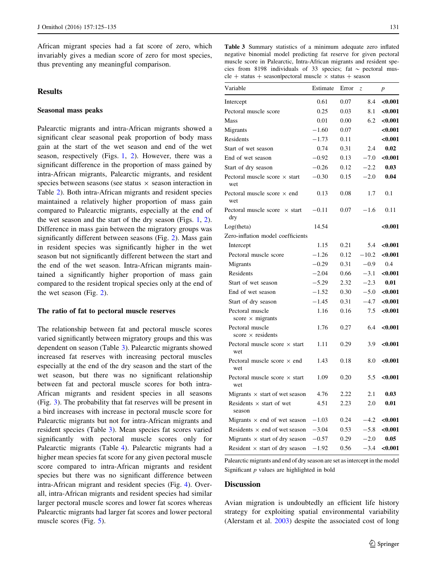African migrant species had a fat score of zero, which invariably gives a median score of zero for most species, thus preventing any meaningful comparison.

# Results

#### Seasonal mass peaks

Palearctic migrants and intra-African migrants showed a significant clear seasonal peak proportion of body mass gain at the start of the wet season and end of the wet season, respectively (Figs. [1](#page-4-0), [2](#page-4-0)). However, there was a significant difference in the proportion of mass gained by intra-African migrants, Palearctic migrants, and resident species between seasons (see status  $\times$  season interaction in Table [2](#page-5-0)). Both intra-African migrants and resident species maintained a relatively higher proportion of mass gain compared to Palearctic migrants, especially at the end of the wet season and the start of the dry season (Figs. [1,](#page-4-0) [2](#page-4-0)). Difference in mass gain between the migratory groups was significantly different between seasons (Fig. [2\)](#page-4-0). Mass gain in resident species was significantly higher in the wet season but not significantly different between the start and the end of the wet season. Intra-African migrants maintained a significantly higher proportion of mass gain compared to the resident tropical species only at the end of the wet season (Fig. [2\)](#page-4-0).

### The ratio of fat to pectoral muscle reserves

The relationship between fat and pectoral muscle scores varied significantly between migratory groups and this was dependent on season (Table 3). Palearctic migrants showed increased fat reserves with increasing pectoral muscles especially at the end of the dry season and the start of the wet season, but there was no significant relationship between fat and pectoral muscle scores for both intra-African migrants and resident species in all seasons (Fig. [3](#page-5-0)). The probability that fat reserves will be present in a bird increases with increase in pectoral muscle score for Palearctic migrants but not for intra-African migrants and resident species (Table 3). Mean species fat scores varied significantly with pectoral muscle scores only for Palearctic migrants (Table [4](#page-7-0)). Palearctic migrants had a higher mean species fat score for any given pectoral muscle score compared to intra-African migrants and resident species but there was no significant difference between intra-African migrant and resident species (Fig. [4](#page-7-0)). Overall, intra-African migrants and resident species had similar larger pectoral muscle scores and lower fat scores whereas Palearctic migrants had larger fat scores and lower pectoral muscle scores (Fig. [5](#page-7-0)).

Table 3 Summary statistics of a minimum adequate zero inflated negative binomial model predicting fat reserve for given pectoral muscle score in Palearctic, Intra-African migrants and resident species from 8198 individuals of 33 species; fat  $\sim$  pectoral mus $cle + status + season|pectoral$  muscle  $\times$  status  $+$  season

| Variable                                    | Estimate | Error | Z       | $\boldsymbol{p}$ |
|---------------------------------------------|----------|-------|---------|------------------|
| Intercept                                   | 0.61     | 0.07  | 8.4     | $0.001$          |
| Pectoral muscle score                       | 0.25     | 0.03  | 8.1     | < 0.001          |
| Mass                                        | 0.01     | 0.00  | 6.2     | < 0.001          |
| Migrants                                    | $-1.60$  | 0.07  |         | < 0.001          |
| <b>Residents</b>                            | $-1.73$  | 0.11  |         | < 0.001          |
| Start of wet season                         | 0.74     | 0.31  | 2.4     | 0.02             |
| End of wet season                           | $-0.92$  | 0.13  | $-7.0$  | < 0.001          |
| Start of dry season                         | $-0.26$  | 0.12  | $-2.2$  | 0.03             |
| Pectoral muscle score $\times$ start<br>wet | $-0.30$  | 0.15  | $-2.0$  | 0.04             |
| Pectoral muscle score $\times$ end<br>wet   | 0.13     | 0.08  | 1.7     | 0.1              |
| Pectoral muscle score $\times$ start<br>dry | $-0.11$  | 0.07  | $-1.6$  | 0.11             |
| Log(theta)                                  | 14.54    |       |         | < 0.001          |
| Zero-inflation model coefficients           |          |       |         |                  |
| Intercept                                   | 1.15     | 0.21  | 5.4     | < 0.001          |
| Pectoral muscle score                       | $-1.26$  | 0.12  | $-10.2$ | < 0.001          |
| Migrants                                    | $-0.29$  | 0.31  | $-0.9$  | 0.4              |
| Residents                                   | $-2.04$  | 0.66  | $-3.1$  | < 0.001          |
| Start of wet season                         | $-5.29$  | 2.32  | $-2.3$  | 0.01             |
| End of wet season                           | $-1.52$  | 0.30  | $-5.0$  | < 0.001          |
| Start of dry season                         | $-1.45$  | 0.31  | $-4.7$  | < 0.001          |
| Pectoral muscle<br>score $\times$ migrants  | 1.16     | 0.16  | 7.5     | < 0.001          |
| Pectoral muscle<br>score $\times$ residents | 1.76     | 0.27  | 6.4     | < 0.001          |
| Pectoral muscle score $\times$ start<br>wet | 1.11     | 0.29  | 3.9     | < 0.001          |
| Pectoral muscle score $\times$ end<br>wet   | 1.43     | 0.18  | $8.0\,$ | < 0.001          |
| Pectoral muscle score $\times$ start<br>wet | 1.09     | 0.20  | 5.5     | < 0.001          |
| Migrants $\times$ start of wet season       | 4.76     | 2.22  | 2.1     | 0.03             |
| Residents $\times$ start of wet<br>season   | 4.51     | 2.23  | 2.0     | 0.01             |
| Migrants $\times$ end of wet season         | $-1.03$  | 0.24  | $-4.2$  | < 0.001          |
| Residents $\times$ end of wet season        | $-3.04$  | 0.53  | $-5.8$  | < 0.001          |
| Migrants $\times$ start of dry season       | $-0.57$  | 0.29  | $-2.0$  | 0.05             |
| Resident $\times$ start of dry season       | $-1.92$  | 0.56  | $-3.4$  | < 0.001          |

Palearctic migrants and end of dry season are set as intercept in the model Significant  $p$  values are highlighted in bold

## **Discussion**

Avian migration is undoubtedly an efficient life history strategy for exploiting spatial environmental variability (Alerstam et al. [2003](#page-9-0)) despite the associated cost of long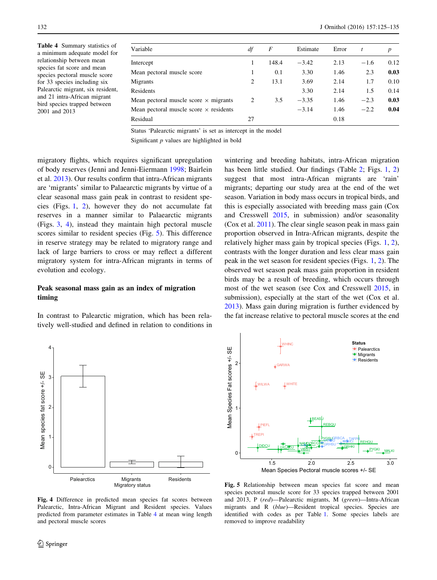<span id="page-7-0"></span>Table 4 Summary statistics of a minimum adequate model for relationship between mean species fat score and mean species pectoral muscle score for 33 species including six Palearctic migrant, six resident, and 21 intra-African migrant bird species trapped between 2001 and 2013

| Variable                                      | df | F     | Estimate | Error | t      | p    |
|-----------------------------------------------|----|-------|----------|-------|--------|------|
| Intercept                                     | 1  | 148.4 | $-3.42$  | 2.13  | $-1.6$ | 0.12 |
| Mean pectoral muscle score                    |    | 0.1   | 3.30     | 1.46  | 2.3    | 0.03 |
| Migrants                                      | 2  | 13.1  | 3.69     | 2.14  | 1.7    | 0.10 |
| Residents                                     |    |       | 3.30     | 2.14  | 1.5    | 0.14 |
| Mean pectoral muscle score $\times$ migrants  | 2  | 3.5   | $-3.35$  | 1.46  | $-2.3$ | 0.03 |
| Mean pectoral muscle score $\times$ residents |    |       | $-3.14$  | 1.46  | $-2.2$ | 0.04 |
| Residual                                      | 27 |       |          | 0.18  |        |      |

Status 'Palearctic migrants' is set as intercept in the model

Significant  $p$  values are highlighted in bold

migratory flights, which requires significant upregulation of body reserves (Jenni and Jenni-Eiermann [1998](#page-10-0); Bairlein et al. [2013](#page-9-0)). Our results confirm that intra-African migrants are 'migrants' similar to Palaearctic migrants by virtue of a clear seasonal mass gain peak in contrast to resident species (Figs. [1,](#page-4-0) [2](#page-4-0)), however they do not accumulate fat reserves in a manner similar to Palaearctic migrants (Figs. [3](#page-5-0), 4), instead they maintain high pectoral muscle scores similar to resident species (Fig. 5). This difference in reserve strategy may be related to migratory range and lack of large barriers to cross or may reflect a different migratory system for intra-African migrants in terms of evolution and ecology.

# Peak seasonal mass gain as an index of migration timing

In contrast to Palearctic migration, which has been relatively well-studied and defined in relation to conditions in

wintering and breeding habitats, intra-African migration has been little studied. Our findings (Table [2;](#page-5-0) Figs. [1](#page-4-0), [2\)](#page-4-0) suggest that most intra-African migrants are 'rain' migrants; departing our study area at the end of the wet season. Variation in body mass occurs in tropical birds, and this is especially associated with breeding mass gain (Cox and Cresswell [2015,](#page-10-0) in submission) and/or seasonality (Cox et al. [2011](#page-9-0)). The clear single season peak in mass gain proportion observed in Intra-African migrants, despite the relatively higher mass gain by tropical species (Figs. [1](#page-4-0), [2](#page-4-0)), contrasts with the longer duration and less clear mass gain peak in the wet season for resident species (Figs. [1](#page-4-0), [2](#page-4-0)). The observed wet season peak mass gain proportion in resident birds may be a result of breeding, which occurs through most of the wet season (see Cox and Cresswell [2015,](#page-10-0) in submission), especially at the start of the wet (Cox et al. [2013](#page-10-0)). Mass gain during migration is further evidenced by the fat increase relative to pectoral muscle scores at the end





Fig. 4 Difference in predicted mean species fat scores between Palearctic, Intra-African Migrant and Resident species. Values predicted from parameter estimates in Table 4 at mean wing length and pectoral muscle scores

Fig. 5 Relationship between mean species fat score and mean species pectoral muscle score for 33 species trapped between 2001 and 2013, P (red)—Palearctic migrants, M (green)—Intra-African migrants and R (blue)—Resident tropical species. Species are identified with codes as per Table [1](#page-3-0). Some species labels are removed to improve readability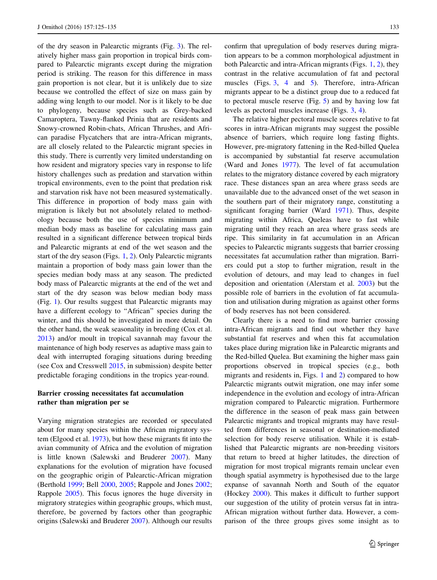of the dry season in Palearctic migrants (Fig. [3\)](#page-5-0). The relatively higher mass gain proportion in tropical birds compared to Palearctic migrants except during the migration period is striking. The reason for this difference in mass gain proportion is not clear, but it is unlikely due to size because we controlled the effect of size on mass gain by adding wing length to our model. Nor is it likely to be due to phylogeny, because species such as Grey-backed Camaroptera, Tawny-flanked Prinia that are residents and Snowy-crowned Robin-chats, African Thrushes, and African paradise Flycatchers that are intra-African migrants, are all closely related to the Palearctic migrant species in this study. There is currently very limited understanding on how resident and migratory species vary in response to life history challenges such as predation and starvation within tropical environments, even to the point that predation risk and starvation risk have not been measured systematically. This difference in proportion of body mass gain with migration is likely but not absolutely related to methodology because both the use of species minimum and median body mass as baseline for calculating mass gain resulted in a significant difference between tropical birds and Palearctic migrants at end of the wet season and the start of the dry season (Figs. [1,](#page-4-0) [2\)](#page-4-0). Only Palearctic migrants maintain a proportion of body mass gain lower than the species median body mass at any season. The predicted body mass of Palearctic migrants at the end of the wet and start of the dry season was below median body mass (Fig. [1](#page-4-0)). Our results suggest that Palearctic migrants may have a different ecology to "African" species during the winter, and this should be investigated in more detail. On the other hand, the weak seasonality in breeding (Cox et al. [2013\)](#page-10-0) and/or moult in tropical savannah may favour the maintenance of high body reserves as adaptive mass gain to deal with interrupted foraging situations during breeding (see Cox and Cresswell [2015](#page-10-0), in submission) despite better predictable foraging conditions in the tropics year-round.

## Barrier crossing necessitates fat accumulation rather than migration per se

Varying migration strategies are recorded or speculated about for many species within the African migratory system (Elgood et al. [1973\)](#page-10-0), but how these migrants fit into the avian community of Africa and the evolution of migration is little known (Salewski and Bruderer [2007](#page-10-0)). Many explanations for the evolution of migration have focused on the geographic origin of Palearctic-African migration (Berthold [1999](#page-9-0); Bell [2000](#page-9-0), [2005](#page-9-0); Rappole and Jones [2002](#page-10-0); Rappole [2005\)](#page-10-0). This focus ignores the huge diversity in migratory strategies within geographic groups, which must, therefore, be governed by factors other than geographic origins (Salewski and Bruderer [2007](#page-10-0)). Although our results confirm that upregulation of body reserves during migration appears to be a common morphological adjustment in both Palearctic and intra-African migrants (Figs. [1,](#page-4-0) [2\)](#page-4-0), they contrast in the relative accumulation of fat and pectoral muscles (Figs. [3,](#page-5-0) [4](#page-7-0) and [5](#page-7-0)). Therefore, intra-African migrants appear to be a distinct group due to a reduced fat to pectoral muscle reserve (Fig. [5](#page-7-0)) and by having low fat levels as pectoral muscles increase (Figs. [3](#page-5-0), [4\)](#page-7-0).

The relative higher pectoral muscle scores relative to fat scores in intra-African migrants may suggest the possible absence of barriers, which require long fasting flights. However, pre-migratory fattening in the Red-billed Quelea is accompanied by substantial fat reserve accumulation (Ward and Jones [1977](#page-10-0)). The level of fat accumulation relates to the migratory distance covered by each migratory race. These distances span an area where grass seeds are unavailable due to the advanced onset of the wet season in the southern part of their migratory range, constituting a significant foraging barrier (Ward [1971](#page-10-0)). Thus, despite migrating within Africa, Queleas have to fast while migrating until they reach an area where grass seeds are ripe. This similarity in fat accumulation in an African species to Palearctic migrants suggests that barrier crossing necessitates fat accumulation rather than migration. Barriers could put a stop to further migration, result in the evolution of detours, and may lead to changes in fuel deposition and orientation (Alerstam et al. [2003\)](#page-9-0) but the possible role of barriers in the evolution of fat accumulation and utilisation during migration as against other forms of body reserves has not been considered.

Clearly there is a need to find more barrier crossing intra-African migrants and find out whether they have substantial fat reserves and when this fat accumulation takes place during migration like in Palearctic migrants and the Red-billed Quelea. But examining the higher mass gain proportions observed in tropical species (e.g., both migrants and residents in, Figs. [1](#page-4-0) and [2](#page-4-0)) compared to how Palearctic migrants outwit migration, one may infer some independence in the evolution and ecology of intra-African migration compared to Palearctic migration. Furthermore the difference in the season of peak mass gain between Palearctic migrants and tropical migrants may have resulted from differences in seasonal or destination-mediated selection for body reserve utilisation. While it is established that Palearctic migrants are non-breeding visitors that return to breed at higher latitudes, the direction of migration for most tropical migrants remain unclear even though spatial asymmetry is hypothesised due to the large expanse of savannah North and South of the equator (Hockey [2000\)](#page-10-0). This makes it difficult to further support our suggestion of the utility of protein versus fat in intra-African migration without further data. However, a comparison of the three groups gives some insight as to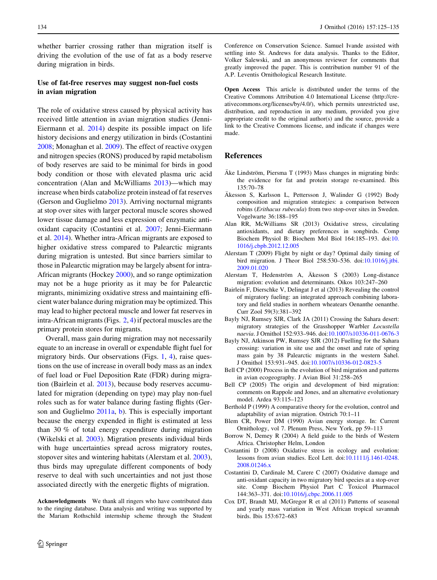<span id="page-9-0"></span>whether barrier crossing rather than migration itself is driving the evolution of the use of fat as a body reserve during migration in birds.

# Use of fat-free reserves may suggest non-fuel costs in avian migration

The role of oxidative stress caused by physical activity has received little attention in avian migration studies (Jenni-Eiermann et al. [2014\)](#page-10-0) despite its possible impact on life history decisions and energy utilization in birds (Costantini 2008; Monaghan et al. [2009](#page-10-0)). The effect of reactive oxygen and nitrogen species (RONS) produced by rapid metabolism of body reserves are said to be minimal for birds in good body condition or those with elevated plasma uric acid concentration (Alan and McWilliams 2013)—which may increase when birds catabolize protein instead of fat reserves (Gerson and Guglielmo [2013](#page-10-0)). Arriving nocturnal migrants at stop over sites with larger pectoral muscle scores showed lower tissue damage and less expression of enzymatic antioxidant capacity (Costantini et al. 2007; Jenni-Eiermann et al. [2014](#page-10-0)). Whether intra-African migrants are exposed to higher oxidative stress compared to Palearctic migrants during migration is untested. But since barriers similar to those in Palearctic migration may be largely absent for intra-African migrants (Hockey [2000\)](#page-10-0), and so range optimization may not be a huge priority as it may be for Palearctic migrants, minimizing oxidative stress and maintaining efficient water balance during migration may be optimized. This may lead to higher pectoral muscle and lower fat reserves in intra-African migrants (Figs. [2,](#page-4-0) [4](#page-7-0)) if pectoral muscles are the primary protein stores for migrants.

Overall, mass gain during migration may not necessarily equate to an increase in overall or expendable flight fuel for migratory birds. Our observations (Figs. [1,](#page-4-0) [4\)](#page-7-0), raise questions on the use of increase in overall body mass as an index of fuel load or Fuel Deposition Rate (FDR) during migration (Bairlein et al. 2013), because body reserves accumulated for migration (depending on type) may play non-fuel roles such as for water balance during fasting flights (Gerson and Guglielmo [2011a](#page-10-0), [b\)](#page-10-0). This is especially important because the energy expended in flight is estimated at less than 30 % of total energy expenditure during migration (Wikelski et al. [2003](#page-10-0)). Migration presents individual birds with huge uncertainties spread across migratory routes, stopover sites and wintering habitats (Alerstam et al. 2003), thus birds may upregulate different components of body reserve to deal with such uncertainties and not just those associated directly with the energetic flights of migration.

Acknowledgments We thank all ringers who have contributed data to the ringing database. Data analysis and writing was supported by the Mariam Rothschild internship scheme through the Student Conference on Conservation Science. Samuel Ivande assisted with settling into St. Andrews for data analysis. Thanks to the Editor, Volker Salewski, and an anonymous reviewer for comments that greatly improved the paper. This is contribution number 91 of the A.P. Leventis Ornithological Research Institute.

Open Access This article is distributed under the terms of the Creative Commons Attribution 4.0 International License (http://creativecommons.org/licenses/by/4.0/), which permits unrestricted use, distribution, and reproduction in any medium, provided you give appropriate credit to the original author(s) and the source, provide a link to the Creative Commons license, and indicate if changes were made.

## References

- $\text{Åke Lindström}$ , Piersma T (1993) Mass changes in migrating birds: the evidence for fat and protein storage re-examined. Ibis 135:70–78
- Äkesson S, Karlsson L, Pettersson J, Walinder G (1992) Body composition and migration strategies: a comparison between robins (Erithacus rubecula) from two stop-over sites in Sweden. Vogelwarte 36:188–195
- Alan RR, McWilliams SR (2013) Oxidative stress, circulating antioxidants, and dietary preferences in songbirds. Comp Biochem Physiol B: Biochem Mol Biol 164:185–193. doi:[10.](http://dx.doi.org/10.1016/j.cbpb.2012.12.005) [1016/j.cbpb.2012.12.005](http://dx.doi.org/10.1016/j.cbpb.2012.12.005)
- Alerstam T (2009) Flight by night or day? Optimal daily timing of bird migration. J Theor Biol 258:530–536. doi[:10.1016/j.jtbi.](http://dx.doi.org/10.1016/j.jtbi.2009.01.020) [2009.01.020](http://dx.doi.org/10.1016/j.jtbi.2009.01.020)
- Alerstam T, Hedenström A, Äkesson S (2003) Long-distance migration: evolution and determinants. Oikos 103:247–260
- Bairlein F, Dierschke V, Delingat J et al (2013) Revealing the control of migratory fueling: an integrated approach combining laboratory and field studies in northern wheatears Oenanthe oenanthe. Curr Zool 59(3):381–392
- Bayly NJ, Rumsey SJR, Clark JA (2011) Crossing the Sahara desert: migratory strategies of the Grasshopper Warbler Locustella naevia. J Ornithol 152:933–946. doi:[10.1007/s10336-011-0676-3](http://dx.doi.org/10.1007/s10336-011-0676-3)
- Bayly NJ, Atkinson PW, Rumsey SJR (2012) Fuelling for the Sahara crossing: variation in site use and the onset and rate of spring mass gain by 38 Palearctic migrants in the western Sahel. J Ornithol 153:931–945. doi:[10.1007/s10336-012-0823-5](http://dx.doi.org/10.1007/s10336-012-0823-5)
- Bell CP (2000) Process in the evolution of bird migration and patterns in avian ecogeography. J Avian Biol 31:258–265
- Bell CP (2005) The origin and development of bird migration: comments on Rappole and Jones, and an alternative evolutionary model. Ardea 93:115–123
- Berthold P (1999) A comparative theory for the evolution, control and adaptability of avian migration. Ostrich 70:1–11
- Blem CR, Power DM (1990) Avian energy storage. In: Current Ornithology, vol 7. Plenum Press, New York, pp 59–113
- Borrow N, Demey R (2004) A field guide to the birds of Western Africa. Christopher Helm, London
- Costantini D (2008) Oxidative stress in ecology and evolution: lessons from avian studies. Ecol Lett. doi[:10.1111/j.1461-0248.](http://dx.doi.org/10.1111/j.1461-0248.2008.01246.x) [2008.01246.x](http://dx.doi.org/10.1111/j.1461-0248.2008.01246.x)
- Costantini D, Cardinale M, Carere C (2007) Oxidative damage and anti-oxidant capacity in two migratory bird species at a stop-over site. Comp Biochem Physiol Part C Toxicol Pharmacol 144:363–371. doi[:10.1016/j.cbpc.2006.11.005](http://dx.doi.org/10.1016/j.cbpc.2006.11.005)
- Cox DT, Brandt MJ, McGregor R et al (2011) Patterns of seasonal and yearly mass variation in West African tropical savannah birds. Ibis 153:672–683